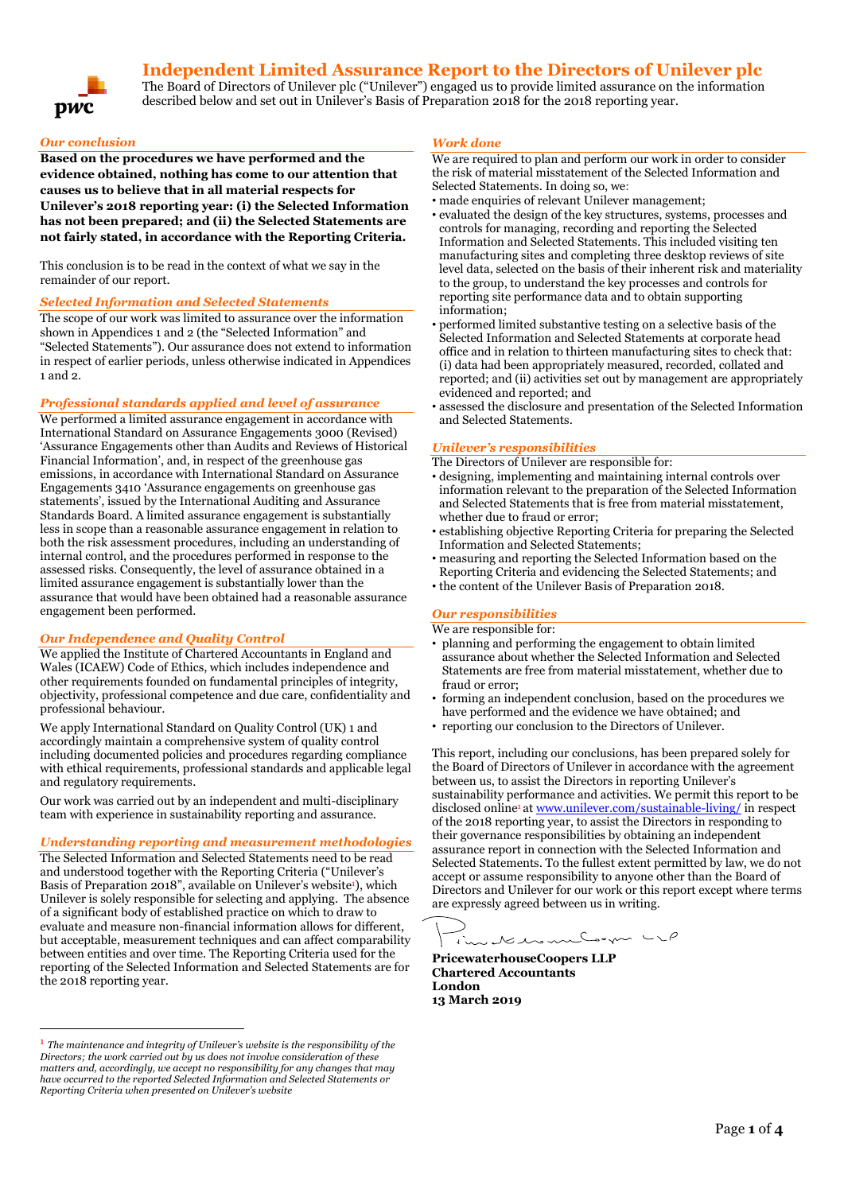# **Independent Limited Assurance Report to the Directors of Unilever plc**



The Board of Directors of Unilever plc ("Unilever") engaged us to provide limited assurance on the information described below and set out in Unilever's Basis of Preparation 2018 for the 2018 reporting year.

# *Our conclusion*

**Based on the procedures we have performed and the evidence obtained, nothing has come to our attention that causes us to believe that in all material respects for Unilever's 2018 reporting year: (i) the Selected Information has not been prepared; and (ii) the Selected Statements are not fairly stated, in accordance with the Reporting Criteria.**

This conclusion is to be read in the context of what we say in the remainder of our report.

# *Selected Information and Selected Statements*

The scope of our work was limited to assurance over the information shown in Appendices 1 and 2 (the "Selected Information" and "Selected Statements"). Our assurance does not extend to information in respect of earlier periods, unless otherwise indicated in Appendices 1 and 2.

#### *Professional standards applied and level of assurance*

We performed a limited assurance engagement in accordance with International Standard on Assurance Engagements 3000 (Revised) 'Assurance Engagements other than Audits and Reviews of Historical Financial Information', and, in respect of the greenhouse gas emissions, in accordance with International Standard on Assurance Engagements 3410 'Assurance engagements on greenhouse gas statements', issued by the International Auditing and Assurance Standards Board. A limited assurance engagement is substantially less in scope than a reasonable assurance engagement in relation to both the risk assessment procedures, including an understanding of internal control, and the procedures performed in response to the assessed risks. Consequently, the level of assurance obtained in a limited assurance engagement is substantially lower than the assurance that would have been obtained had a reasonable assurance engagement been performed.

#### *Our Independence and Quality Control*

We applied the Institute of Chartered Accountants in England and Wales (ICAEW) Code of Ethics, which includes independence and other requirements founded on fundamental principles of integrity, objectivity, professional competence and due care, confidentiality and professional behaviour.

We apply International Standard on Quality Control (UK) 1 and accordingly maintain a comprehensive system of quality control including documented policies and procedures regarding compliance with ethical requirements, professional standards and applicable legal and regulatory requirements.

Our work was carried out by an independent and multi-disciplinary team with experience in sustainability reporting and assurance.

#### *Understanding reporting and measurement methodologies*

The Selected Information and Selected Statements need to be read and understood together with the Reporting Criteria ("Unilever's Basis of Preparation 2018", available on Unilever's website<sup>1</sup>), which Unilever is solely responsible for selecting and applying. The absence of a significant body of established practice on which to draw to evaluate and measure non-financial information allows for different, but acceptable, measurement techniques and can affect comparability between entities and over time. The Reporting Criteria used for the reporting of the Selected Information and Selected Statements are for the 2018 reporting year.

 $\overline{a}$ 

#### *Work done*

We are required to plan and perform our work in order to consider the risk of material misstatement of the Selected Information and Selected Statements. In doing so, we:

- made enquiries of relevant Unilever management;
- evaluated the design of the key structures, systems, processes and controls for managing, recording and reporting the Selected Information and Selected Statements. This included visiting ten manufacturing sites and completing three desktop reviews of site level data, selected on the basis of their inherent risk and materiality to the group, to understand the key processes and controls for reporting site performance data and to obtain supporting information;
- performed limited substantive testing on a selective basis of the Selected Information and Selected Statements at corporate head office and in relation to thirteen manufacturing sites to check that: (i) data had been appropriately measured, recorded, collated and reported; and (ii) activities set out by management are appropriately evidenced and reported; and
- assessed the disclosure and presentation of the Selected Information and Selected Statements.

# *Unilever's responsibilities*

- The Directors of Unilever are responsible for:
- designing, implementing and maintaining internal controls over information relevant to the preparation of the Selected Information and Selected Statements that is free from material misstatement, whether due to fraud or error;
- establishing objective Reporting Criteria for preparing the Selected Information and Selected Statements;
- measuring and reporting the Selected Information based on the Reporting Criteria and evidencing the Selected Statements; and
- the content of the Unilever Basis of Preparation 2018.

# *Our responsibilities*

We are responsible for:

- planning and performing the engagement to obtain limited assurance about whether the Selected Information and Selected Statements are free from material misstatement, whether due to fraud or error;
- forming an independent conclusion, based on the procedures we have performed and the evidence we have obtained; and
- reporting our conclusion to the Directors of Unilever.

This report, including our conclusions, has been prepared solely for the Board of Directors of Unilever in accordance with the agreement between us, to assist the Directors in reporting Unilever's sustainability performance and activities. We permit this report to be disclosed online<sup>1</sup> a[t www.unilever.com/sustainable-living/](http://www.unilever.com/sustainable-living/) in respect of the 2018 reporting year, to assist the Directors in responding to their governance responsibilities by obtaining an independent assurance report in connection with the Selected Information and Selected Statements. To the fullest extent permitted by law, we do not accept or assume responsibility to anyone other than the Board of Directors and Unilever for our work or this report except where terms are expressly agreed between us in writing.

undermedia

**PricewaterhouseCoopers LLP Chartered Accountants London 13 March 2019**

<sup>1</sup> *The maintenance and integrity of Unilever's website is the responsibility of the Directors; the work carried out by us does not involve consideration of these matters and, accordingly, we accept no responsibility for any changes that may have occurred to the reported Selected Information and Selected Statements or Reporting Criteria when presented on Unilever's website*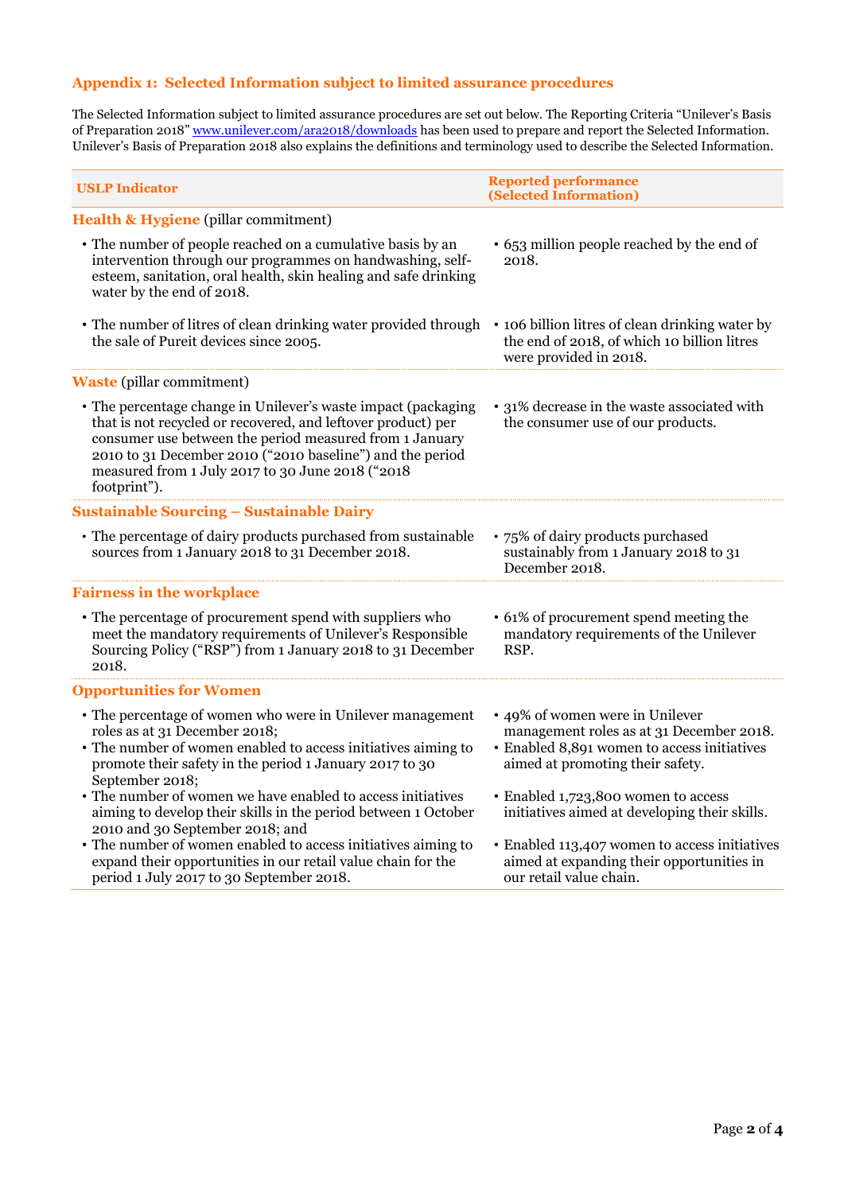# **Appendix 1: Selected Information subject to limited assurance procedures**

The Selected Information subject to limited assurance procedures are set out below. The Reporting Criteria "Unilever's Basis of Preparation 2018" [www.unilever.com/ara2018/downloads](http://www.unilever.com/ara2017/downloads) has been used to prepare and report the Selected Information. Unilever's Basis of Preparation 2018 also explains the definitions and terminology used to describe the Selected Information.

| <b>USLP Indicator</b>                                                                                                                                                                                                                                                                                                     | <b>Reported performance</b><br>(Selected Information)                                                                                                          |
|---------------------------------------------------------------------------------------------------------------------------------------------------------------------------------------------------------------------------------------------------------------------------------------------------------------------------|----------------------------------------------------------------------------------------------------------------------------------------------------------------|
| Health & Hygiene (pillar commitment)                                                                                                                                                                                                                                                                                      |                                                                                                                                                                |
| • The number of people reached on a cumulative basis by an<br>intervention through our programmes on handwashing, self-<br>esteem, sanitation, oral health, skin healing and safe drinking<br>water by the end of 2018.                                                                                                   | • 653 million people reached by the end of<br>2018.                                                                                                            |
| • The number of litres of clean drinking water provided through<br>the sale of Pureit devices since 2005.                                                                                                                                                                                                                 | • 106 billion litres of clean drinking water by<br>the end of 2018, of which 10 billion litres<br>were provided in 2018.                                       |
| <b>Waste</b> (pillar commitment)                                                                                                                                                                                                                                                                                          |                                                                                                                                                                |
| • The percentage change in Unilever's waste impact (packaging<br>that is not recycled or recovered, and leftover product) per<br>consumer use between the period measured from 1 January<br>2010 to 31 December 2010 ("2010 baseline") and the period<br>measured from 1 July 2017 to 30 June 2018 ("2018<br>footprint"). | • 31% decrease in the waste associated with<br>the consumer use of our products.                                                                               |
| <b>Sustainable Sourcing - Sustainable Dairy</b>                                                                                                                                                                                                                                                                           |                                                                                                                                                                |
| • The percentage of dairy products purchased from sustainable<br>sources from 1 January 2018 to 31 December 2018.                                                                                                                                                                                                         | • 75% of dairy products purchased<br>sustainably from 1 January 2018 to 31<br>December 2018.                                                                   |
| <b>Fairness in the workplace</b>                                                                                                                                                                                                                                                                                          |                                                                                                                                                                |
| • The percentage of procurement spend with suppliers who<br>meet the mandatory requirements of Unilever's Responsible<br>Sourcing Policy ("RSP") from 1 January 2018 to 31 December<br>2018.                                                                                                                              | • 61% of procurement spend meeting the<br>mandatory requirements of the Unilever<br>RSP.                                                                       |
| <b>Opportunities for Women</b>                                                                                                                                                                                                                                                                                            |                                                                                                                                                                |
| • The percentage of women who were in Unilever management<br>roles as at 31 December 2018;<br>• The number of women enabled to access initiatives aiming to<br>promote their safety in the period 1 January 2017 to 30<br>September 2018;                                                                                 | • 49% of women were in Unilever<br>management roles as at 31 December 2018.<br>· Enabled 8,891 women to access initiatives<br>aimed at promoting their safety. |
| • The number of women we have enabled to access initiatives<br>aiming to develop their skills in the period between 1 October<br>2010 and 30 September 2018; and                                                                                                                                                          | · Enabled 1,723,800 women to access<br>initiatives aimed at developing their skills.                                                                           |
| • The number of women enabled to access initiatives aiming to<br>expand their opportunities in our retail value chain for the<br>period 1 July 2017 to 30 September 2018.                                                                                                                                                 | • Enabled 113,407 women to access initiatives<br>aimed at expanding their opportunities in<br>our retail value chain.                                          |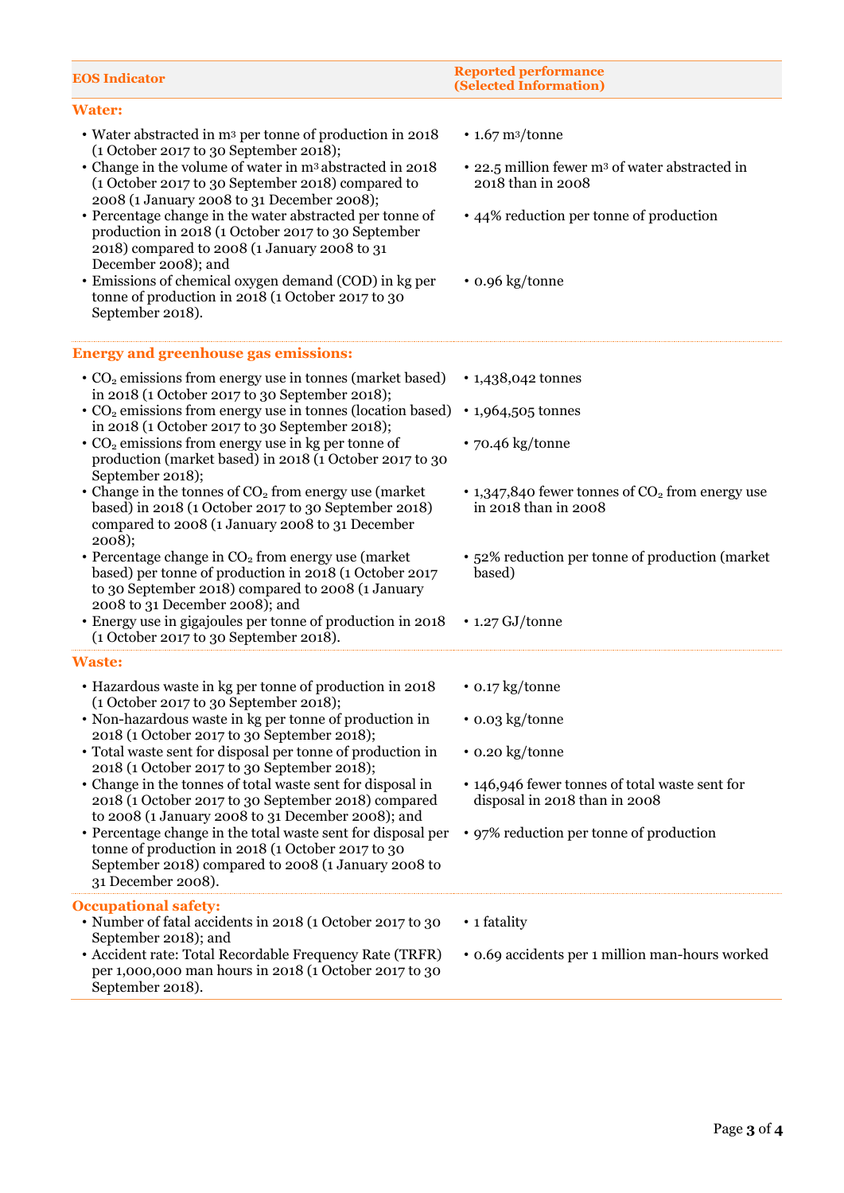| <b>EOS Indicator</b>                                                                                                                                                                                            | <b>Reported performance</b><br>(Selected Information)                           |
|-----------------------------------------------------------------------------------------------------------------------------------------------------------------------------------------------------------------|---------------------------------------------------------------------------------|
| <b>Water:</b>                                                                                                                                                                                                   |                                                                                 |
| • Water abstracted in m <sup>3</sup> per tonne of production in 2018<br>(1 October 2017 to 30 September 2018);<br>• Change in the volume of water in m <sup>3</sup> abstracted in 2018                          | $\cdot$ 1.67 m <sup>3</sup> /tonne                                              |
| (1 October 2017 to 30 September 2018) compared to<br>2008 (1 January 2008 to 31 December 2008);                                                                                                                 | • 22.5 million fewer m <sup>3</sup> of water abstracted in<br>2018 than in 2008 |
| • Percentage change in the water abstracted per tonne of<br>production in 2018 (1 October 2017 to 30 September<br>2018) compared to 2008 (1 January 2008 to 31<br>December 2008); and                           | • 44% reduction per tonne of production                                         |
| • Emissions of chemical oxygen demand (COD) in kg per<br>tonne of production in 2018 (1 October 2017 to 30<br>September 2018).                                                                                  | • 0.96 kg/tonne                                                                 |
| <b>Energy and greenhouse gas emissions:</b>                                                                                                                                                                     |                                                                                 |
| • CO <sub>2</sub> emissions from energy use in tonnes (market based)<br>in 2018 (1 October 2017 to 30 September 2018);                                                                                          | • 1,438,042 tonnes                                                              |
| • CO <sub>2</sub> emissions from energy use in tonnes (location based)<br>in 2018 (1 October 2017 to 30 September 2018);                                                                                        | • 1,964,505 tonnes                                                              |
| • CO <sub>2</sub> emissions from energy use in kg per tonne of<br>production (market based) in 2018 (1 October 2017 to 30<br>September 2018);                                                                   | $\cdot$ 70.46 kg/tonne                                                          |
| • Change in the tonnes of $CO2$ from energy use (market<br>based) in 2018 (1 October 2017 to 30 September 2018)<br>compared to 2008 (1 January 2008 to 31 December<br>2008);                                    | • 1,347,840 fewer tonnes of $CO2$ from energy use<br>in 2018 than in 2008       |
| • Percentage change in CO <sub>2</sub> from energy use (market<br>based) per tonne of production in 2018 (1 October 2017<br>to 30 September 2018) compared to 2008 (1 January<br>2008 to 31 December 2008); and | • 52% reduction per tonne of production (market<br>based)                       |
| • Energy use in gigajoules per tonne of production in 2018<br>(1 October 2017 to 30 September 2018).                                                                                                            | $\cdot$ 1.27 GJ/tonne                                                           |
| <b>Waste:</b>                                                                                                                                                                                                   |                                                                                 |
| • Hazardous waste in kg per tonne of production in 2018<br>(1 October 2017 to 30 September 2018);                                                                                                               | $\cdot$ 0.17 kg/tonne                                                           |
| • Non-hazardous waste in kg per tonne of production in<br>2018 (1 October 2017 to 30 September 2018);                                                                                                           | • 0.03 kg/tonne                                                                 |
| • Total waste sent for disposal per tonne of production in<br>2018 (1 October 2017 to 30 September 2018);                                                                                                       | • 0.20 kg/tonne                                                                 |
| • Change in the tonnes of total waste sent for disposal in<br>2018 (1 October 2017 to 30 September 2018) compared<br>to 2008 (1 January 2008 to 31 December 2008); and                                          | • 146,946 fewer tonnes of total waste sent for<br>disposal in 2018 than in 2008 |
| • Percentage change in the total waste sent for disposal per<br>tonne of production in 2018 (1 October 2017 to 30<br>September 2018) compared to 2008 (1 January 2008 to<br>31 December 2008).                  | • 97% reduction per tonne of production                                         |
| <b>Occupational safety:</b><br>• Number of fatal accidents in 2018 (1 October 2017 to 30<br>September 2018); and                                                                                                | • 1 fatality                                                                    |
| • Accident rate: Total Recordable Frequency Rate (TRFR)<br>per 1,000,000 man hours in 2018 (1 October 2017 to 30<br>September 2018).                                                                            | • 0.69 accidents per 1 million man-hours worked                                 |